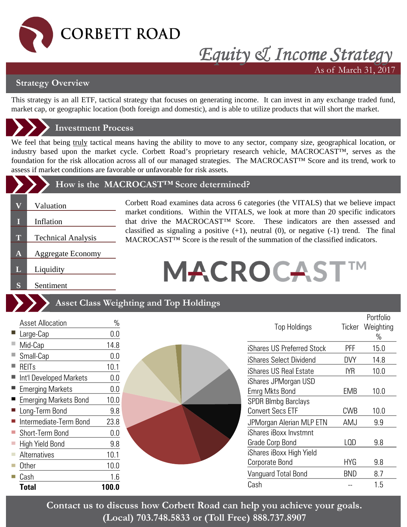

## *Equity & Income Strategy* As of March 31, 2017

**Strategy Overview**

This strategy is an all ETF, tactical strategy that focuses on generating income. It can invest in any exchange traded fund, market cap, or geographic location (both foreign and domestic), and is able to utilize products that will short the market.

### **Investment Process**

We feel that being truly tactical means having the ability to move to any sector, company size, geographical location, or industry based upon the market cycle. Corbett Road's proprietary research vehicle, MACROCAST™, serves as the foundation for the risk allocation across all of our managed strategies. The MACROCAST™ Score and its trend, work to assess if market conditions are favorable or unfavorable for risk assets.

#### **How is the MACROCAST™ Score determined?**

- **V** Valuation
- **I** Inflation
- **T** Technical Analysis
- **A** Aggregate Economy
- **L** Liquidity

**S** Sentiment

Corbett Road examines data across 6 categories (the VITALS) that we believe impact market conditions. Within the VITALS, we look at more than 20 specific indicators that drive the MACROCAST™ Score. These indicators are then assessed and classified as signaling a positive  $(+1)$ , neutral  $(0)$ , or negative  $(-1)$  trend. The final MACROCAST<sup>™</sup> Score is the result of the summation of the classified indicators.

# **MACROCAST**

|   |                                      |             | <b>Asset Class Weighting and Top Holdings</b> |            |                                |
|---|--------------------------------------|-------------|-----------------------------------------------|------------|--------------------------------|
| ■ | <b>Asset Allocation</b><br>Large-Cap | $\%$<br>0.0 | <b>Top Holdings</b>                           | Ticker     | Portfolio<br>Weighting<br>$\%$ |
|   | Mid-Cap                              | 14.8        | iShares US Preferred Stock                    | <b>PFF</b> | 15.0                           |
|   | Small-Cap                            | 0.0         | iShares Select Dividend                       | <b>DVY</b> | 14.8                           |
|   | REITs                                | 10.1        | iShares US Real Estate                        | <b>IYR</b> | 10.0                           |
|   | ■ Int'l Developed Markets            | 0.0         | iShares JPMorgan USD                          |            |                                |
|   | <b>Emerging Markets</b>              | 0.0         | Emrg Mkts Bond                                | EMB        | 10.0                           |
|   | <b>Emerging Markets Bond</b>         | 10.0        | <b>SPDR Blmbg Barclays</b>                    |            |                                |
|   | Long-Term Bond                       | 9.8         | <b>Convert Secs ETF</b>                       | <b>CWB</b> | 10.0                           |
|   | Intermediate-Term Bond               | 23.8        | JPMorgan Alerian MLP ETN                      | AMJ        | 9.9                            |
|   | Short-Term Bond                      | 0.0         | iShares iBoxx Invstmnt                        |            |                                |
|   | High Yield Bond                      | 9.8         | Grade Corp Bond                               | LQD        | 9.8                            |
|   | <b>Alternatives</b>                  | 10.1        | iShares iBoxx High Yield                      |            |                                |
|   | Other                                | 10.0        | Corporate Bond                                | <b>HYG</b> | 9.8                            |
|   | Cash                                 | 1.6         | Vanguard Total Bond                           | <b>BND</b> | 8.7                            |
|   | <b>Total</b>                         | 100.0       | Cash                                          |            | 1.5                            |

**Contact us to discuss how Corbett Road can help you achieve your goals. (Local) 703.748.5833 or (Toll Free) 888.737.8907**